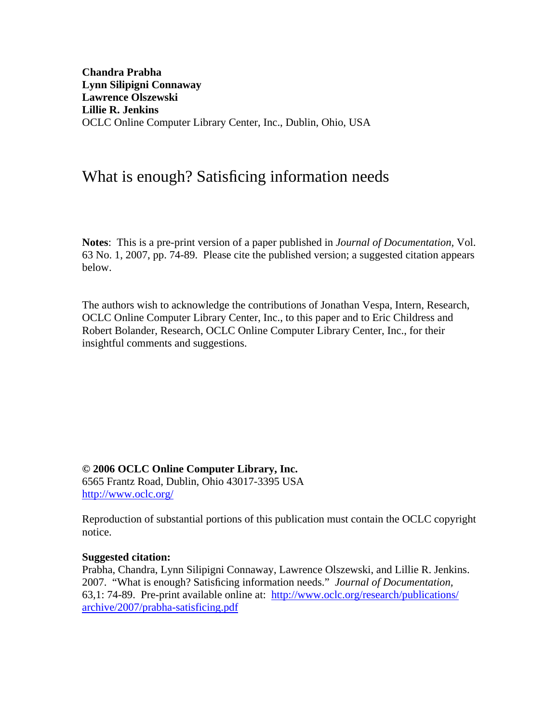**Chandra Prabha Lynn Silipigni Connaway Lawrence Olszewski Lillie R. Jenkins**  OCLC Online Computer Library Center, Inc., Dublin, Ohio, USA

# What is enough? Satisficing information needs

**Notes**: This is a pre-print version of a paper published in *Journal of Documentation,* Vol. 63 No. 1, 2007, pp. 74-89. Please cite the published version; a suggested citation appears below.

The authors wish to acknowledge the contributions of Jonathan Vespa, Intern, Research, OCLC Online Computer Library Center, Inc., to this paper and to Eric Childress and Robert Bolander, Research, OCLC Online Computer Library Center, Inc., for their insightful comments and suggestions.

**© 2006 OCLC Online Computer Library, Inc.** 6565 Frantz Road, Dublin, Ohio 43017-3395 USA <http://www.oclc.org/>

Reproduction of substantial portions of this publication must contain the OCLC copyright notice.

#### **Suggested citation:**

Prabha, Chandra, Lynn Silipigni Connaway, Lawrence Olszewski, and Lillie R. Jenkins. 2007. "What is enough? Satisficing information needs." *Journal of Documentation,* 63,1: 74-89. Pre-print available online at: [http://www.oclc.org/research/publications/](http://www.oclc.org/research/publications/archive/2007/prabha-satisficing.pdf)  [archive/2007/prabha-satisficing.pdf](http://www.oclc.org/research/publications/archive/2007/prabha-satisficing.pdf)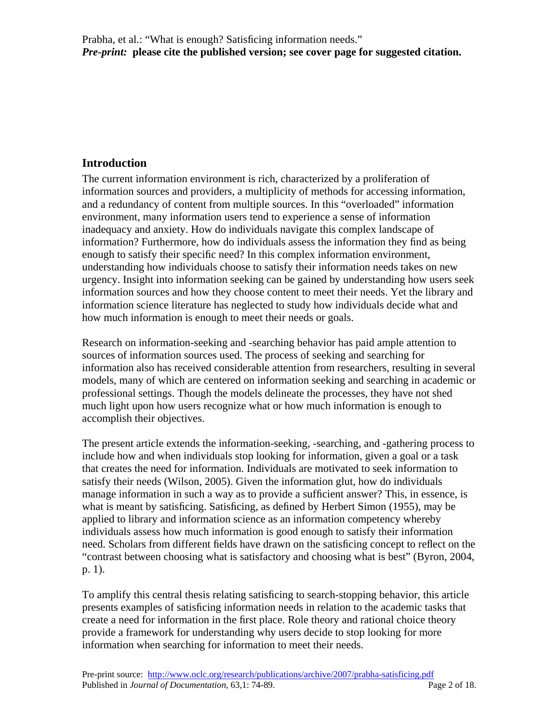# **Introduction**

The current information environment is rich, characterized by a proliferation of information sources and providers, a multiplicity of methods for accessing information, and a redundancy of content from multiple sources. In this "overloaded" information environment, many information users tend to experience a sense of information inadequacy and anxiety. How do individuals navigate this complex landscape of information? Furthermore, how do individuals assess the information they find as being enough to satisfy their specific need? In this complex information environment, understanding how individuals choose to satisfy their information needs takes on new urgency. Insight into information seeking can be gained by understanding how users seek information sources and how they choose content to meet their needs. Yet the library and information science literature has neglected to study how individuals decide what and how much information is enough to meet their needs or goals.

Research on information-seeking and -searching behavior has paid ample attention to sources of information sources used. The process of seeking and searching for information also has received considerable attention from researchers, resulting in several models, many of which are centered on information seeking and searching in academic or professional settings. Though the models delineate the processes, they have not shed much light upon how users recognize what or how much information is enough to accomplish their objectives.

The present article extends the information-seeking, -searching, and -gathering process to include how and when individuals stop looking for information, given a goal or a task that creates the need for information. Individuals are motivated to seek information to satisfy their needs (Wilson, 2005). Given the information glut, how do individuals manage information in such a way as to provide a sufficient answer? This, in essence, is what is meant by satisficing. Satisficing, as defined by Herbert Simon (1955), may be applied to library and information science as an information competency whereby individuals assess how much information is good enough to satisfy their information need. Scholars from different fields have drawn on the satisficing concept to reflect on the "contrast between choosing what is satisfactory and choosing what is best" (Byron, 2004, p. 1).

To amplify this central thesis relating satisficing to search-stopping behavior, this article presents examples of satisficing information needs in relation to the academic tasks that create a need for information in the first place. Role theory and rational choice theory provide a framework for understanding why users decide to stop looking for more information when searching for information to meet their needs.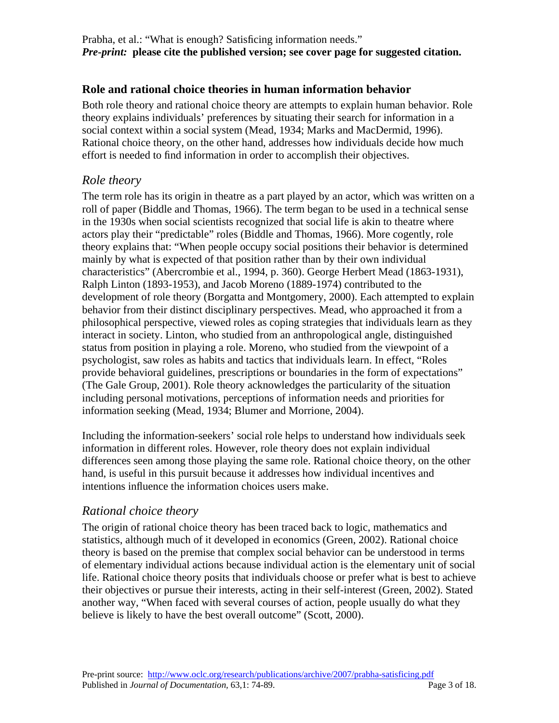# **Role and rational choice theories in human information behavior**

Both role theory and rational choice theory are attempts to explain human behavior. Role theory explains individuals' preferences by situating their search for information in a social context within a social system (Mead, 1934; Marks and MacDermid, 1996). Rational choice theory, on the other hand, addresses how individuals decide how much effort is needed to find information in order to accomplish their objectives.

# *Role theory*

The term role has its origin in theatre as a part played by an actor, which was written on a roll of paper (Biddle and Thomas, 1966). The term began to be used in a technical sense in the 1930s when social scientists recognized that social life is akin to theatre where actors play their "predictable" roles (Biddle and Thomas, 1966). More cogently, role theory explains that: "When people occupy social positions their behavior is determined mainly by what is expected of that position rather than by their own individual characteristics" (Abercrombie et al., 1994, p. 360). George Herbert Mead (1863-1931), Ralph Linton (1893-1953), and Jacob Moreno (1889-1974) contributed to the development of role theory (Borgatta and Montgomery, 2000). Each attempted to explain behavior from their distinct disciplinary perspectives. Mead, who approached it from a philosophical perspective, viewed roles as coping strategies that individuals learn as they interact in society. Linton, who studied from an anthropological angle, distinguished status from position in playing a role. Moreno, who studied from the viewpoint of a psychologist, saw roles as habits and tactics that individuals learn. In effect, "Roles provide behavioral guidelines, prescriptions or boundaries in the form of expectations" (The Gale Group, 2001). Role theory acknowledges the particularity of the situation including personal motivations, perceptions of information needs and priorities for information seeking (Mead, 1934; Blumer and Morrione, 2004).

Including the information-seekers' social role helps to understand how individuals seek information in different roles. However, role theory does not explain individual differences seen among those playing the same role. Rational choice theory, on the other hand, is useful in this pursuit because it addresses how individual incentives and intentions influence the information choices users make.

# *Rational choice theory*

The origin of rational choice theory has been traced back to logic, mathematics and statistics, although much of it developed in economics (Green, 2002). Rational choice theory is based on the premise that complex social behavior can be understood in terms of elementary individual actions because individual action is the elementary unit of social life. Rational choice theory posits that individuals choose or prefer what is best to achieve their objectives or pursue their interests, acting in their self-interest (Green, 2002). Stated another way, "When faced with several courses of action, people usually do what they believe is likely to have the best overall outcome" (Scott, 2000).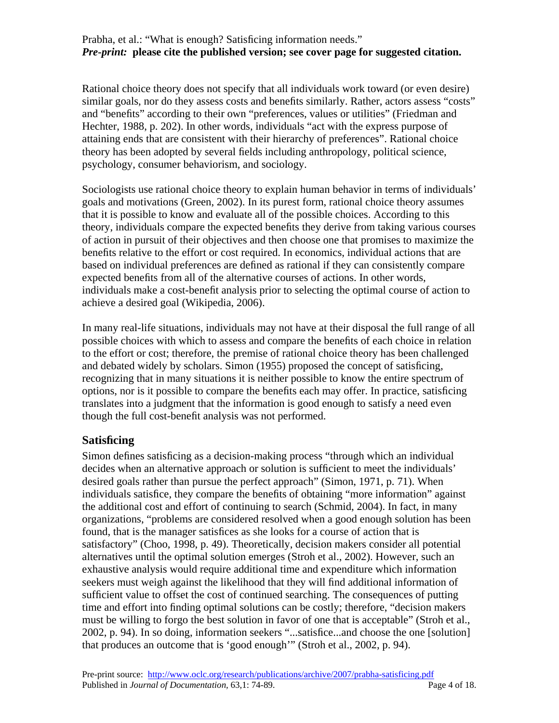Rational choice theory does not specify that all individuals work toward (or even desire) similar goals, nor do they assess costs and benefits similarly. Rather, actors assess "costs" and "benefits" according to their own "preferences, values or utilities" (Friedman and Hechter, 1988, p. 202). In other words, individuals "act with the express purpose of attaining ends that are consistent with their hierarchy of preferences". Rational choice theory has been adopted by several fields including anthropology, political science, psychology, consumer behaviorism, and sociology.

Sociologists use rational choice theory to explain human behavior in terms of individuals' goals and motivations (Green, 2002). In its purest form, rational choice theory assumes that it is possible to know and evaluate all of the possible choices. According to this theory, individuals compare the expected benefits they derive from taking various courses of action in pursuit of their objectives and then choose one that promises to maximize the benefits relative to the effort or cost required. In economics, individual actions that are based on individual preferences are defined as rational if they can consistently compare expected benefits from all of the alternative courses of actions. In other words, individuals make a cost-benefit analysis prior to selecting the optimal course of action to achieve a desired goal (Wikipedia, 2006).

In many real-life situations, individuals may not have at their disposal the full range of all possible choices with which to assess and compare the benefits of each choice in relation to the effort or cost; therefore, the premise of rational choice theory has been challenged and debated widely by scholars. Simon (1955) proposed the concept of satisficing, recognizing that in many situations it is neither possible to know the entire spectrum of options, nor is it possible to compare the benefits each may offer. In practice, satisficing translates into a judgment that the information is good enough to satisfy a need even though the full cost-benefit analysis was not performed.

### **Satisficing**

Simon defines satisficing as a decision-making process "through which an individual decides when an alternative approach or solution is sufficient to meet the individuals' desired goals rather than pursue the perfect approach" (Simon, 1971, p. 71). When individuals satisfice, they compare the benefits of obtaining "more information" against the additional cost and effort of continuing to search (Schmid, 2004). In fact, in many organizations, "problems are considered resolved when a good enough solution has been found, that is the manager satisfices as she looks for a course of action that is satisfactory" (Choo, 1998, p. 49). Theoretically, decision makers consider all potential alternatives until the optimal solution emerges (Stroh et al., 2002). However, such an exhaustive analysis would require additional time and expenditure which information seekers must weigh against the likelihood that they will find additional information of sufficient value to offset the cost of continued searching. The consequences of putting time and effort into finding optimal solutions can be costly; therefore, "decision makers must be willing to forgo the best solution in favor of one that is acceptable" (Stroh et al., 2002, p. 94). In so doing, information seekers "...satisfice...and choose the one [solution] that produces an outcome that is 'good enough'" (Stroh et al., 2002, p. 94).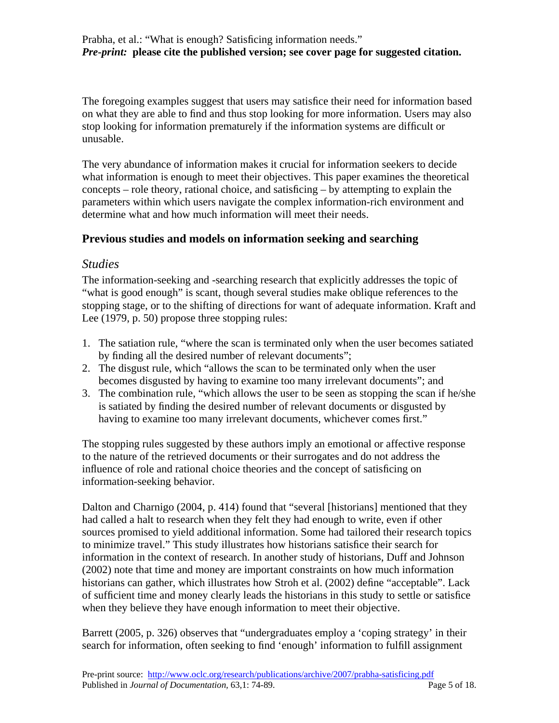The foregoing examples suggest that users may satisfice their need for information based on what they are able to find and thus stop looking for more information. Users may also stop looking for information prematurely if the information systems are difficult or unusable.

The very abundance of information makes it crucial for information seekers to decide what information is enough to meet their objectives. This paper examines the theoretical concepts – role theory, rational choice, and satisficing – by attempting to explain the parameters within which users navigate the complex information-rich environment and determine what and how much information will meet their needs.

#### **Previous studies and models on information seeking and searching**

#### *Studies*

The information-seeking and -searching research that explicitly addresses the topic of "what is good enough" is scant, though several studies make oblique references to the stopping stage, or to the shifting of directions for want of adequate information. Kraft and Lee (1979, p. 50) propose three stopping rules:

- 1. The satiation rule, "where the scan is terminated only when the user becomes satiated by finding all the desired number of relevant documents";
- 2. The disgust rule, which "allows the scan to be terminated only when the user becomes disgusted by having to examine too many irrelevant documents"; and
- 3. The combination rule, "which allows the user to be seen as stopping the scan if he/she is satiated by finding the desired number of relevant documents or disgusted by having to examine too many irrelevant documents, whichever comes first."

The stopping rules suggested by these authors imply an emotional or affective response to the nature of the retrieved documents or their surrogates and do not address the influence of role and rational choice theories and the concept of satisficing on information-seeking behavior.

Dalton and Charnigo (2004, p. 414) found that "several [historians] mentioned that they had called a halt to research when they felt they had enough to write, even if other sources promised to yield additional information. Some had tailored their research topics to minimize travel." This study illustrates how historians satisfice their search for information in the context of research. In another study of historians, Duff and Johnson (2002) note that time and money are important constraints on how much information historians can gather, which illustrates how Stroh et al. (2002) define "acceptable". Lack of sufficient time and money clearly leads the historians in this study to settle or satisfice when they believe they have enough information to meet their objective.

Barrett (2005, p. 326) observes that "undergraduates employ a 'coping strategy' in their search for information, often seeking to find 'enough' information to fulfill assignment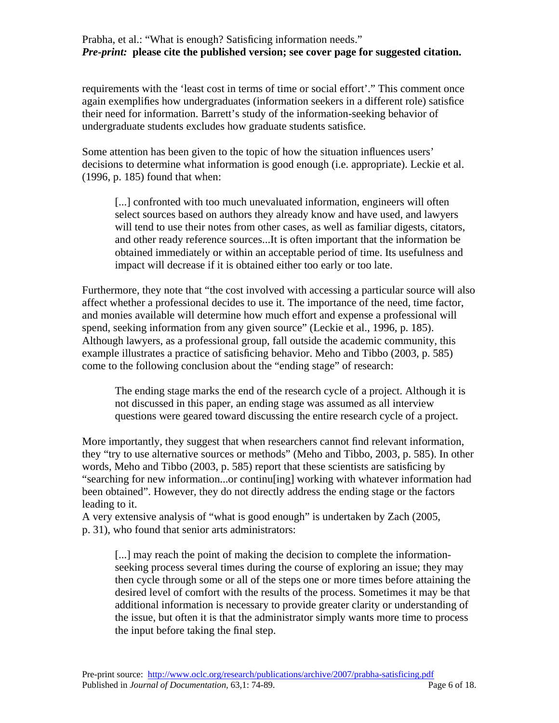requirements with the 'least cost in terms of time or social effort'." This comment once again exemplifies how undergraduates (information seekers in a different role) satisfice their need for information. Barrett's study of the information-seeking behavior of undergraduate students excludes how graduate students satisfice.

Some attention has been given to the topic of how the situation influences users' decisions to determine what information is good enough (i.e. appropriate). Leckie et al. (1996, p. 185) found that when:

[...] confronted with too much unevaluated information, engineers will often select sources based on authors they already know and have used, and lawyers will tend to use their notes from other cases, as well as familiar digests, citators, and other ready reference sources...It is often important that the information be obtained immediately or within an acceptable period of time. Its usefulness and impact will decrease if it is obtained either too early or too late.

Furthermore, they note that "the cost involved with accessing a particular source will also affect whether a professional decides to use it. The importance of the need, time factor, and monies available will determine how much effort and expense a professional will spend, seeking information from any given source" (Leckie et al., 1996, p. 185). Although lawyers, as a professional group, fall outside the academic community, this example illustrates a practice of satisficing behavior. Meho and Tibbo (2003, p. 585) come to the following conclusion about the "ending stage" of research:

The ending stage marks the end of the research cycle of a project. Although it is not discussed in this paper, an ending stage was assumed as all interview questions were geared toward discussing the entire research cycle of a project.

More importantly, they suggest that when researchers cannot find relevant information, they "try to use alternative sources or methods" (Meho and Tibbo, 2003, p. 585). In other words, Meho and Tibbo (2003, p. 585) report that these scientists are satisficing by "searching for new information...or continu[ing] working with whatever information had been obtained". However, they do not directly address the ending stage or the factors leading to it.

A very extensive analysis of "what is good enough" is undertaken by Zach (2005, p. 31), who found that senior arts administrators:

[...] may reach the point of making the decision to complete the informationseeking process several times during the course of exploring an issue; they may then cycle through some or all of the steps one or more times before attaining the desired level of comfort with the results of the process. Sometimes it may be that additional information is necessary to provide greater clarity or understanding of the issue, but often it is that the administrator simply wants more time to process the input before taking the final step.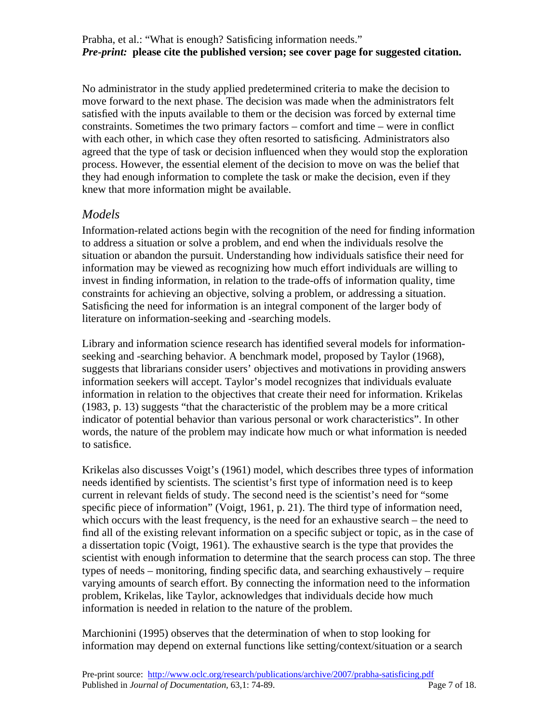No administrator in the study applied predetermined criteria to make the decision to move forward to the next phase. The decision was made when the administrators felt satisfied with the inputs available to them or the decision was forced by external time constraints. Sometimes the two primary factors – comfort and time – were in conflict with each other, in which case they often resorted to satisficing. Administrators also agreed that the type of task or decision influenced when they would stop the exploration process. However, the essential element of the decision to move on was the belief that they had enough information to complete the task or make the decision, even if they knew that more information might be available.

### *Models*

Information-related actions begin with the recognition of the need for finding information to address a situation or solve a problem, and end when the individuals resolve the situation or abandon the pursuit. Understanding how individuals satisfice their need for information may be viewed as recognizing how much effort individuals are willing to invest in finding information, in relation to the trade-offs of information quality, time constraints for achieving an objective, solving a problem, or addressing a situation. Satisficing the need for information is an integral component of the larger body of literature on information-seeking and -searching models.

Library and information science research has identified several models for informationseeking and -searching behavior. A benchmark model, proposed by Taylor (1968), suggests that librarians consider users' objectives and motivations in providing answers information seekers will accept. Taylor's model recognizes that individuals evaluate information in relation to the objectives that create their need for information. Krikelas (1983, p. 13) suggests "that the characteristic of the problem may be a more critical indicator of potential behavior than various personal or work characteristics". In other words, the nature of the problem may indicate how much or what information is needed to satisfice.

Krikelas also discusses Voigt's (1961) model, which describes three types of information needs identified by scientists. The scientist's first type of information need is to keep current in relevant fields of study. The second need is the scientist's need for "some specific piece of information" (Voigt, 1961, p. 21). The third type of information need, which occurs with the least frequency, is the need for an exhaustive search – the need to find all of the existing relevant information on a specific subject or topic, as in the case of a dissertation topic (Voigt, 1961). The exhaustive search is the type that provides the scientist with enough information to determine that the search process can stop. The three types of needs – monitoring, finding specific data, and searching exhaustively – require varying amounts of search effort. By connecting the information need to the information problem, Krikelas, like Taylor, acknowledges that individuals decide how much information is needed in relation to the nature of the problem.

Marchionini (1995) observes that the determination of when to stop looking for information may depend on external functions like setting/context/situation or a search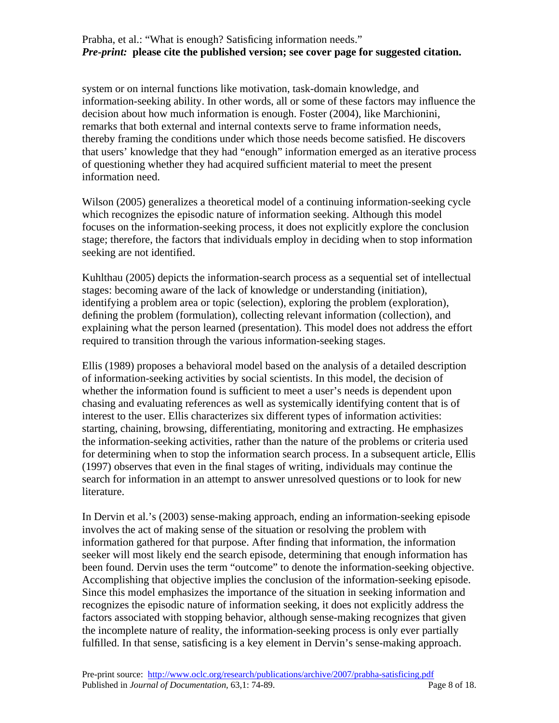system or on internal functions like motivation, task-domain knowledge, and information-seeking ability. In other words, all or some of these factors may influence the decision about how much information is enough. Foster (2004), like Marchionini, remarks that both external and internal contexts serve to frame information needs, thereby framing the conditions under which those needs become satisfied. He discovers that users' knowledge that they had "enough" information emerged as an iterative process of questioning whether they had acquired sufficient material to meet the present information need.

Wilson (2005) generalizes a theoretical model of a continuing information-seeking cycle which recognizes the episodic nature of information seeking. Although this model focuses on the information-seeking process, it does not explicitly explore the conclusion stage; therefore, the factors that individuals employ in deciding when to stop information seeking are not identified.

Kuhlthau (2005) depicts the information-search process as a sequential set of intellectual stages: becoming aware of the lack of knowledge or understanding (initiation), identifying a problem area or topic (selection), exploring the problem (exploration), defining the problem (formulation), collecting relevant information (collection), and explaining what the person learned (presentation). This model does not address the effort required to transition through the various information-seeking stages.

Ellis (1989) proposes a behavioral model based on the analysis of a detailed description of information-seeking activities by social scientists. In this model, the decision of whether the information found is sufficient to meet a user's needs is dependent upon chasing and evaluating references as well as systemically identifying content that is of interest to the user. Ellis characterizes six different types of information activities: starting, chaining, browsing, differentiating, monitoring and extracting. He emphasizes the information-seeking activities, rather than the nature of the problems or criteria used for determining when to stop the information search process. In a subsequent article, Ellis (1997) observes that even in the final stages of writing, individuals may continue the search for information in an attempt to answer unresolved questions or to look for new literature.

In Dervin et al.'s (2003) sense-making approach, ending an information-seeking episode involves the act of making sense of the situation or resolving the problem with information gathered for that purpose. After finding that information, the information seeker will most likely end the search episode, determining that enough information has been found. Dervin uses the term "outcome" to denote the information-seeking objective. Accomplishing that objective implies the conclusion of the information-seeking episode. Since this model emphasizes the importance of the situation in seeking information and recognizes the episodic nature of information seeking, it does not explicitly address the factors associated with stopping behavior, although sense-making recognizes that given the incomplete nature of reality, the information-seeking process is only ever partially fulfilled. In that sense, satisficing is a key element in Dervin's sense-making approach.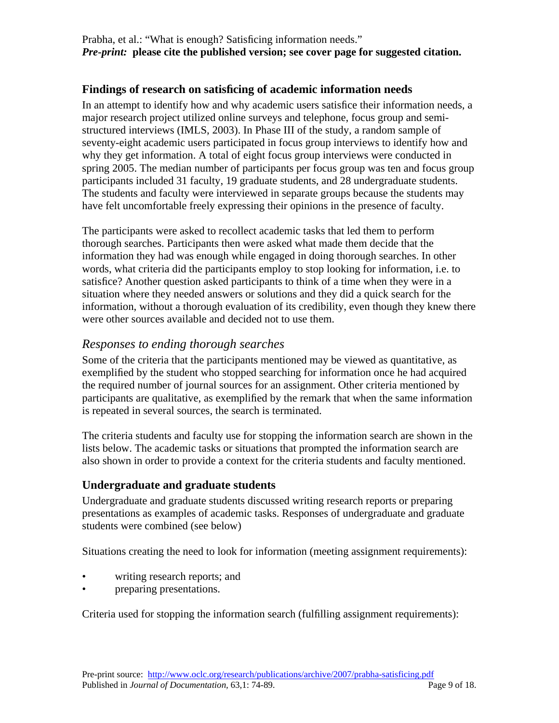# **Findings of research on satisficing of academic information needs**

In an attempt to identify how and why academic users satisfice their information needs, a major research project utilized online surveys and telephone, focus group and semistructured interviews (IMLS, 2003). In Phase III of the study, a random sample of seventy-eight academic users participated in focus group interviews to identify how and why they get information. A total of eight focus group interviews were conducted in spring 2005. The median number of participants per focus group was ten and focus group participants included 31 faculty, 19 graduate students, and 28 undergraduate students. The students and faculty were interviewed in separate groups because the students may have felt uncomfortable freely expressing their opinions in the presence of faculty.

The participants were asked to recollect academic tasks that led them to perform thorough searches. Participants then were asked what made them decide that the information they had was enough while engaged in doing thorough searches. In other words, what criteria did the participants employ to stop looking for information, i.e. to satisfice? Another question asked participants to think of a time when they were in a situation where they needed answers or solutions and they did a quick search for the information, without a thorough evaluation of its credibility, even though they knew there were other sources available and decided not to use them.

# *Responses to ending thorough searches*

Some of the criteria that the participants mentioned may be viewed as quantitative, as exemplified by the student who stopped searching for information once he had acquired the required number of journal sources for an assignment. Other criteria mentioned by participants are qualitative, as exemplified by the remark that when the same information is repeated in several sources, the search is terminated.

The criteria students and faculty use for stopping the information search are shown in the lists below. The academic tasks or situations that prompted the information search are also shown in order to provide a context for the criteria students and faculty mentioned.

### **Undergraduate and graduate students**

Undergraduate and graduate students discussed writing research reports or preparing presentations as examples of academic tasks. Responses of undergraduate and graduate students were combined (see below)

Situations creating the need to look for information (meeting assignment requirements):

- writing research reports; and
- preparing presentations.

Criteria used for stopping the information search (fulfilling assignment requirements):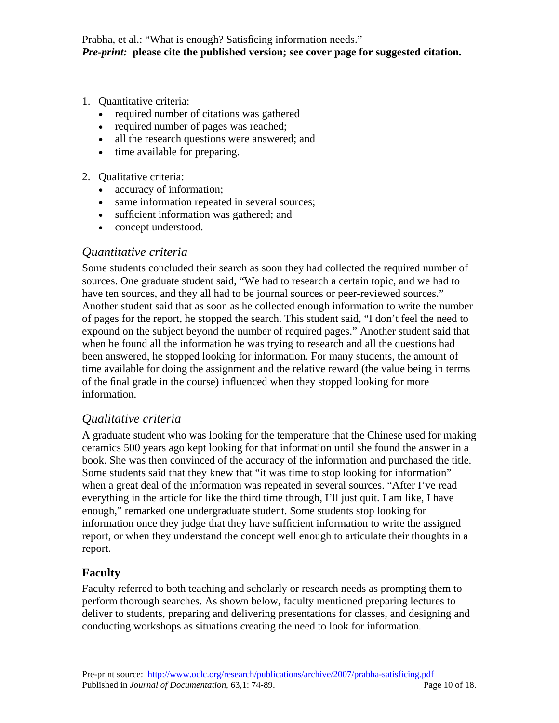- 1. Quantitative criteria:
	- required number of citations was gathered
	- required number of pages was reached;
	- all the research questions were answered; and
	- time available for preparing.
- 2. Qualitative criteria:
	- accuracy of information;
	- same information repeated in several sources;
	- sufficient information was gathered; and
	- concept understood.

#### *Quantitative criteria*

Some students concluded their search as soon they had collected the required number of sources. One graduate student said, "We had to research a certain topic, and we had to have ten sources, and they all had to be journal sources or peer-reviewed sources." Another student said that as soon as he collected enough information to write the number of pages for the report, he stopped the search. This student said, "I don't feel the need to expound on the subject beyond the number of required pages." Another student said that when he found all the information he was trying to research and all the questions had been answered, he stopped looking for information. For many students, the amount of time available for doing the assignment and the relative reward (the value being in terms of the final grade in the course) influenced when they stopped looking for more information.

### *Qualitative criteria*

A graduate student who was looking for the temperature that the Chinese used for making ceramics 500 years ago kept looking for that information until she found the answer in a book. She was then convinced of the accuracy of the information and purchased the title. Some students said that they knew that "it was time to stop looking for information" when a great deal of the information was repeated in several sources. "After I've read everything in the article for like the third time through, I'll just quit. I am like, I have enough," remarked one undergraduate student. Some students stop looking for information once they judge that they have sufficient information to write the assigned report, or when they understand the concept well enough to articulate their thoughts in a report.

#### **Faculty**

Faculty referred to both teaching and scholarly or research needs as prompting them to perform thorough searches. As shown below, faculty mentioned preparing lectures to deliver to students, preparing and delivering presentations for classes, and designing and conducting workshops as situations creating the need to look for information.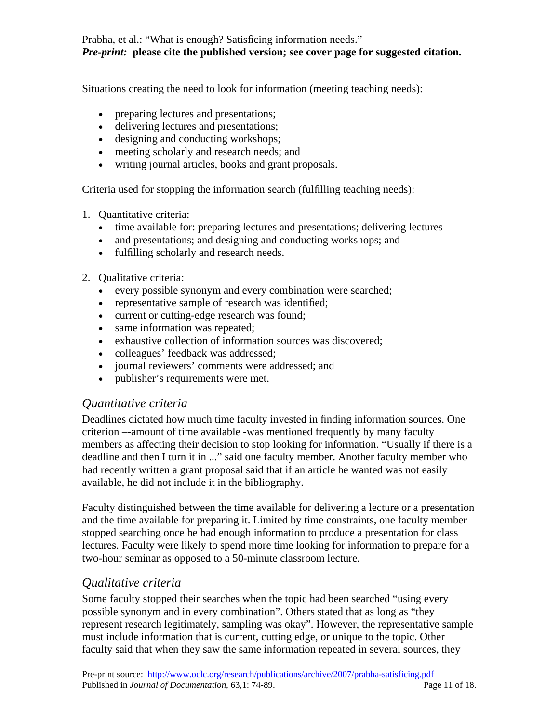Situations creating the need to look for information (meeting teaching needs):

- preparing lectures and presentations;
- delivering lectures and presentations;
- designing and conducting workshops;
- meeting scholarly and research needs; and
- writing journal articles, books and grant proposals.

Criteria used for stopping the information search (fulfilling teaching needs):

- 1. Quantitative criteria:
	- time available for: preparing lectures and presentations; delivering lectures
	- and presentations; and designing and conducting workshops; and
	- fulfilling scholarly and research needs.
- 2. Qualitative criteria:
	- every possible synonym and every combination were searched;
	- representative sample of research was identified;
	- current or cutting-edge research was found;
	- same information was repeated;
	- exhaustive collection of information sources was discovered;
	- colleagues' feedback was addressed;
	- journal reviewers' comments were addressed; and
	- publisher's requirements were met.

### *Quantitative criteria*

Deadlines dictated how much time faculty invested in finding information sources. One criterion –-amount of time available -was mentioned frequently by many faculty members as affecting their decision to stop looking for information. "Usually if there is a deadline and then I turn it in ..." said one faculty member. Another faculty member who had recently written a grant proposal said that if an article he wanted was not easily available, he did not include it in the bibliography.

Faculty distinguished between the time available for delivering a lecture or a presentation and the time available for preparing it. Limited by time constraints, one faculty member stopped searching once he had enough information to produce a presentation for class lectures. Faculty were likely to spend more time looking for information to prepare for a two-hour seminar as opposed to a 50-minute classroom lecture.

# *Qualitative criteria*

Some faculty stopped their searches when the topic had been searched "using every possible synonym and in every combination". Others stated that as long as "they represent research legitimately, sampling was okay". However, the representative sample must include information that is current, cutting edge, or unique to the topic. Other faculty said that when they saw the same information repeated in several sources, they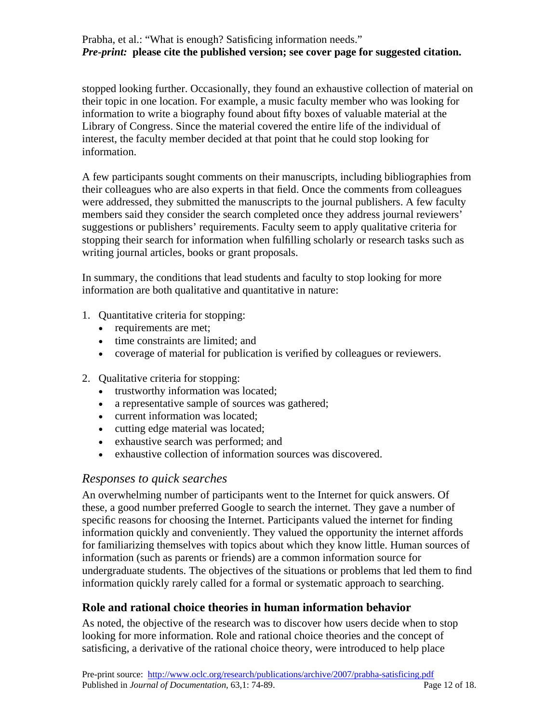stopped looking further. Occasionally, they found an exhaustive collection of material on their topic in one location. For example, a music faculty member who was looking for information to write a biography found about fifty boxes of valuable material at the Library of Congress. Since the material covered the entire life of the individual of interest, the faculty member decided at that point that he could stop looking for information.

A few participants sought comments on their manuscripts, including bibliographies from their colleagues who are also experts in that field. Once the comments from colleagues were addressed, they submitted the manuscripts to the journal publishers. A few faculty members said they consider the search completed once they address journal reviewers' suggestions or publishers' requirements. Faculty seem to apply qualitative criteria for stopping their search for information when fulfilling scholarly or research tasks such as writing journal articles, books or grant proposals.

In summary, the conditions that lead students and faculty to stop looking for more information are both qualitative and quantitative in nature:

- 1. Quantitative criteria for stopping:
	- requirements are met;
	- time constraints are limited; and
	- coverage of material for publication is verified by colleagues or reviewers.
- 2. Qualitative criteria for stopping:
	- trustworthy information was located;
	- a representative sample of sources was gathered;
	- current information was located;
	- cutting edge material was located;
	- exhaustive search was performed; and
	- exhaustive collection of information sources was discovered.

### *Responses to quick searches*

An overwhelming number of participants went to the Internet for quick answers. Of these, a good number preferred Google to search the internet. They gave a number of specific reasons for choosing the Internet. Participants valued the internet for finding information quickly and conveniently. They valued the opportunity the internet affords for familiarizing themselves with topics about which they know little. Human sources of information (such as parents or friends) are a common information source for undergraduate students. The objectives of the situations or problems that led them to find information quickly rarely called for a formal or systematic approach to searching.

### **Role and rational choice theories in human information behavior**

As noted, the objective of the research was to discover how users decide when to stop looking for more information. Role and rational choice theories and the concept of satisficing, a derivative of the rational choice theory, were introduced to help place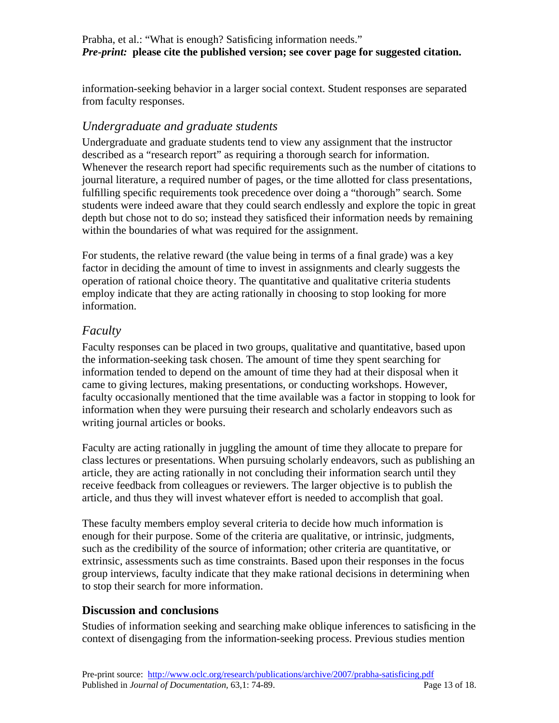information-seeking behavior in a larger social context. Student responses are separated from faculty responses.

### *Undergraduate and graduate students*

Undergraduate and graduate students tend to view any assignment that the instructor described as a "research report" as requiring a thorough search for information. Whenever the research report had specific requirements such as the number of citations to journal literature, a required number of pages, or the time allotted for class presentations, fulfilling specific requirements took precedence over doing a "thorough" search. Some students were indeed aware that they could search endlessly and explore the topic in great depth but chose not to do so; instead they satisficed their information needs by remaining within the boundaries of what was required for the assignment.

For students, the relative reward (the value being in terms of a final grade) was a key factor in deciding the amount of time to invest in assignments and clearly suggests the operation of rational choice theory. The quantitative and qualitative criteria students employ indicate that they are acting rationally in choosing to stop looking for more information.

# *Faculty*

Faculty responses can be placed in two groups, qualitative and quantitative, based upon the information-seeking task chosen. The amount of time they spent searching for information tended to depend on the amount of time they had at their disposal when it came to giving lectures, making presentations, or conducting workshops. However, faculty occasionally mentioned that the time available was a factor in stopping to look for information when they were pursuing their research and scholarly endeavors such as writing journal articles or books.

Faculty are acting rationally in juggling the amount of time they allocate to prepare for class lectures or presentations. When pursuing scholarly endeavors, such as publishing an article, they are acting rationally in not concluding their information search until they receive feedback from colleagues or reviewers. The larger objective is to publish the article, and thus they will invest whatever effort is needed to accomplish that goal.

These faculty members employ several criteria to decide how much information is enough for their purpose. Some of the criteria are qualitative, or intrinsic, judgments, such as the credibility of the source of information; other criteria are quantitative, or extrinsic, assessments such as time constraints. Based upon their responses in the focus group interviews, faculty indicate that they make rational decisions in determining when to stop their search for more information.

### **Discussion and conclusions**

Studies of information seeking and searching make oblique inferences to satisficing in the context of disengaging from the information-seeking process. Previous studies mention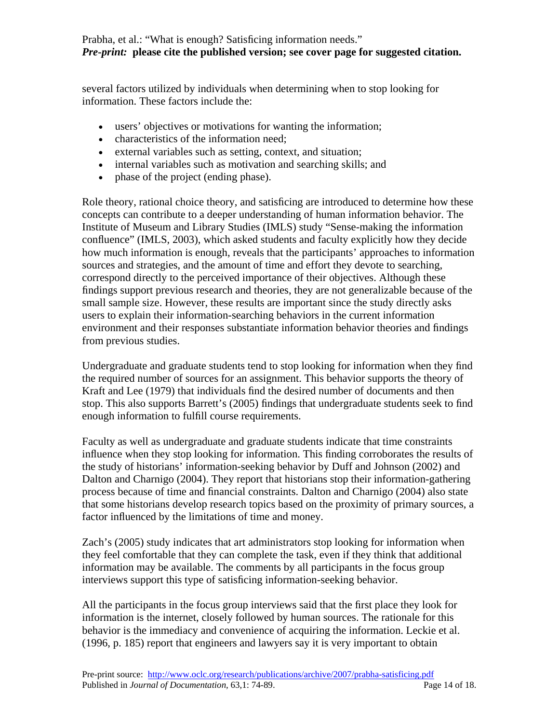several factors utilized by individuals when determining when to stop looking for information. These factors include the:

- users' objectives or motivations for wanting the information;
- characteristics of the information need;
- external variables such as setting, context, and situation;
- internal variables such as motivation and searching skills; and
- phase of the project (ending phase).

Role theory, rational choice theory, and satisficing are introduced to determine how these concepts can contribute to a deeper understanding of human information behavior. The Institute of Museum and Library Studies (IMLS) study "Sense-making the information confluence" (IMLS, 2003), which asked students and faculty explicitly how they decide how much information is enough, reveals that the participants' approaches to information sources and strategies, and the amount of time and effort they devote to searching, correspond directly to the perceived importance of their objectives. Although these findings support previous research and theories, they are not generalizable because of the small sample size. However, these results are important since the study directly asks users to explain their information-searching behaviors in the current information environment and their responses substantiate information behavior theories and findings from previous studies.

Undergraduate and graduate students tend to stop looking for information when they find the required number of sources for an assignment. This behavior supports the theory of Kraft and Lee (1979) that individuals find the desired number of documents and then stop. This also supports Barrett's (2005) findings that undergraduate students seek to find enough information to fulfill course requirements.

Faculty as well as undergraduate and graduate students indicate that time constraints influence when they stop looking for information. This finding corroborates the results of the study of historians' information-seeking behavior by Duff and Johnson (2002) and Dalton and Charnigo (2004). They report that historians stop their information-gathering process because of time and financial constraints. Dalton and Charnigo (2004) also state that some historians develop research topics based on the proximity of primary sources, a factor influenced by the limitations of time and money.

Zach's (2005) study indicates that art administrators stop looking for information when they feel comfortable that they can complete the task, even if they think that additional information may be available. The comments by all participants in the focus group interviews support this type of satisficing information-seeking behavior.

All the participants in the focus group interviews said that the first place they look for information is the internet, closely followed by human sources. The rationale for this behavior is the immediacy and convenience of acquiring the information. Leckie et al. (1996, p. 185) report that engineers and lawyers say it is very important to obtain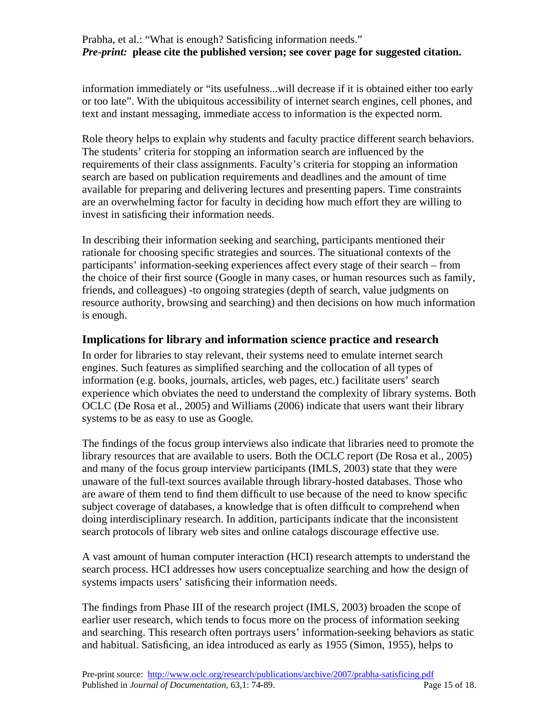information immediately or "its usefulness...will decrease if it is obtained either too early or too late". With the ubiquitous accessibility of internet search engines, cell phones, and text and instant messaging, immediate access to information is the expected norm.

Role theory helps to explain why students and faculty practice different search behaviors. The students' criteria for stopping an information search are influenced by the requirements of their class assignments. Faculty's criteria for stopping an information search are based on publication requirements and deadlines and the amount of time available for preparing and delivering lectures and presenting papers. Time constraints are an overwhelming factor for faculty in deciding how much effort they are willing to invest in satisficing their information needs.

In describing their information seeking and searching, participants mentioned their rationale for choosing specific strategies and sources. The situational contexts of the participants' information-seeking experiences affect every stage of their search – from the choice of their first source (Google in many cases, or human resources such as family, friends, and colleagues) -to ongoing strategies (depth of search, value judgments on resource authority, browsing and searching) and then decisions on how much information is enough.

### **Implications for library and information science practice and research**

In order for libraries to stay relevant, their systems need to emulate internet search engines. Such features as simplified searching and the collocation of all types of information (e.g. books, journals, articles, web pages, etc.) facilitate users' search experience which obviates the need to understand the complexity of library systems. Both OCLC (De Rosa et al., 2005) and Williams (2006) indicate that users want their library systems to be as easy to use as Google.

The findings of the focus group interviews also indicate that libraries need to promote the library resources that are available to users. Both the OCLC report (De Rosa et al., 2005) and many of the focus group interview participants (IMLS, 2003) state that they were unaware of the full-text sources available through library-hosted databases. Those who are aware of them tend to find them difficult to use because of the need to know specific subject coverage of databases, a knowledge that is often difficult to comprehend when doing interdisciplinary research. In addition, participants indicate that the inconsistent search protocols of library web sites and online catalogs discourage effective use.

A vast amount of human computer interaction (HCI) research attempts to understand the search process. HCI addresses how users conceptualize searching and how the design of systems impacts users' satisficing their information needs.

The findings from Phase III of the research project (IMLS, 2003) broaden the scope of earlier user research, which tends to focus more on the process of information seeking and searching. This research often portrays users' information-seeking behaviors as static and habitual. Satisficing, an idea introduced as early as 1955 (Simon, 1955), helps to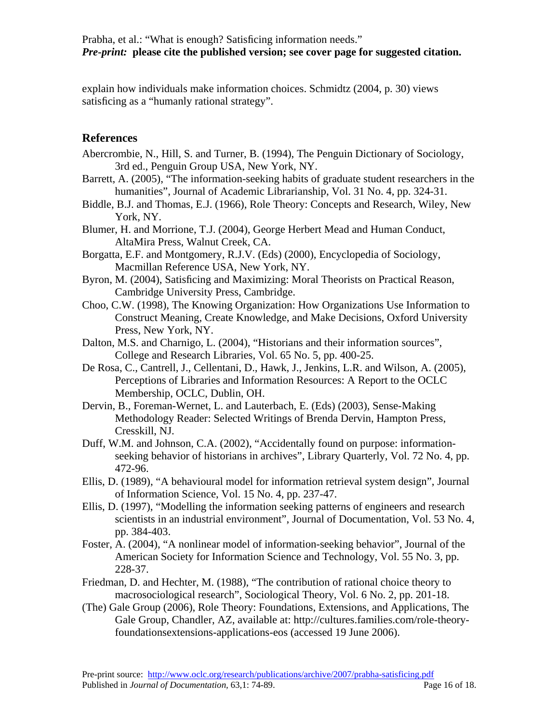explain how individuals make information choices. Schmidtz (2004, p. 30) views satisficing as a "humanly rational strategy".

#### **References**

- Abercrombie, N., Hill, S. and Turner, B. (1994), The Penguin Dictionary of Sociology, 3rd ed., Penguin Group USA, New York, NY.
- Barrett, A. (2005), "The information-seeking habits of graduate student researchers in the humanities", Journal of Academic Librarianship, Vol. 31 No. 4, pp. 324-31.
- Biddle, B.J. and Thomas, E.J. (1966), Role Theory: Concepts and Research, Wiley, New York, NY.
- Blumer, H. and Morrione, T.J. (2004), George Herbert Mead and Human Conduct, AltaMira Press, Walnut Creek, CA.
- Borgatta, E.F. and Montgomery, R.J.V. (Eds) (2000), Encyclopedia of Sociology, Macmillan Reference USA, New York, NY.
- Byron, M. (2004), Satisficing and Maximizing: Moral Theorists on Practical Reason, Cambridge University Press, Cambridge.
- Choo, C.W. (1998), The Knowing Organization: How Organizations Use Information to Construct Meaning, Create Knowledge, and Make Decisions, Oxford University Press, New York, NY.
- Dalton, M.S. and Charnigo, L. (2004), "Historians and their information sources", College and Research Libraries, Vol. 65 No. 5, pp. 400-25.
- De Rosa, C., Cantrell, J., Cellentani, D., Hawk, J., Jenkins, L.R. and Wilson, A. (2005), Perceptions of Libraries and Information Resources: A Report to the OCLC Membership, OCLC, Dublin, OH.
- Dervin, B., Foreman-Wernet, L. and Lauterbach, E. (Eds) (2003), Sense-Making Methodology Reader: Selected Writings of Brenda Dervin, Hampton Press, Cresskill, NJ.
- Duff, W.M. and Johnson, C.A. (2002), "Accidentally found on purpose: informationseeking behavior of historians in archives", Library Quarterly, Vol. 72 No. 4, pp. 472-96.
- Ellis, D. (1989), "A behavioural model for information retrieval system design", Journal of Information Science, Vol. 15 No. 4, pp. 237-47.
- Ellis, D. (1997), "Modelling the information seeking patterns of engineers and research scientists in an industrial environment", Journal of Documentation, Vol. 53 No. 4, pp. 384-403.
- Foster, A. (2004), "A nonlinear model of information-seeking behavior", Journal of the American Society for Information Science and Technology, Vol. 55 No. 3, pp. 228-37.
- Friedman, D. and Hechter, M. (1988), "The contribution of rational choice theory to macrosociological research", Sociological Theory, Vol. 6 No. 2, pp. 201-18.
- (The) Gale Group (2006), Role Theory: Foundations, Extensions, and Applications, The Gale Group, Chandler, AZ, available at: http://cultures.families.com/role-theoryfoundationsextensions-applications-eos (accessed 19 June 2006).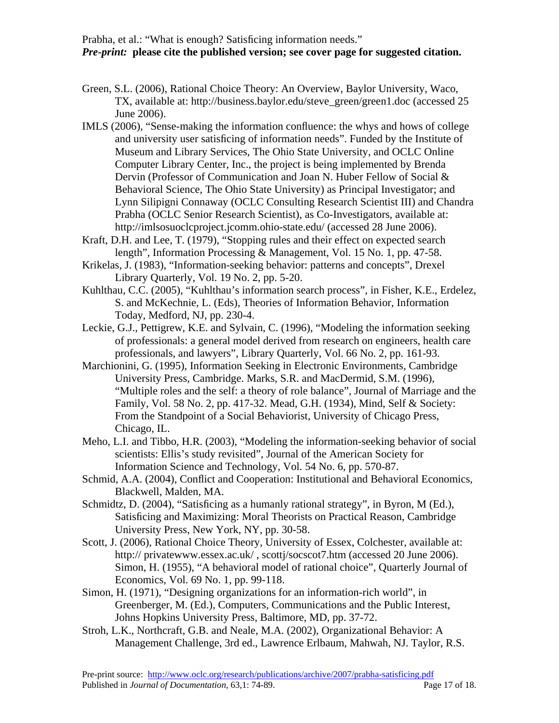- Green, S.L. (2006), Rational Choice Theory: An Overview, Baylor University, Waco, TX, available at: http://business.baylor.edu/steve\_green/green1.doc (accessed 25 June 2006).
- IMLS (2006), "Sense-making the information confluence: the whys and hows of college and university user satisficing of information needs". Funded by the Institute of Museum and Library Services, The Ohio State University, and OCLC Online Computer Library Center, Inc., the project is being implemented by Brenda Dervin (Professor of Communication and Joan N. Huber Fellow of Social & Behavioral Science, The Ohio State University) as Principal Investigator; and Lynn Silipigni Connaway (OCLC Consulting Research Scientist III) and Chandra Prabha (OCLC Senior Research Scientist), as Co-Investigators, available at: http://imlsosuoclcproject.jcomm.ohio-state.edu/ (accessed 28 June 2006).
- Kraft, D.H. and Lee, T. (1979), "Stopping rules and their effect on expected search length", Information Processing & Management, Vol. 15 No. 1, pp. 47-58.
- Krikelas, J. (1983), "Information-seeking behavior: patterns and concepts", Drexel Library Quarterly, Vol. 19 No. 2, pp. 5-20.
- Kuhlthau, C.C. (2005), "Kuhlthau's information search process", in Fisher, K.E., Erdelez, S. and McKechnie, L. (Eds), Theories of Information Behavior, Information Today, Medford, NJ, pp. 230-4.
- Leckie, G.J., Pettigrew, K.E. and Sylvain, C. (1996), "Modeling the information seeking of professionals: a general model derived from research on engineers, health care professionals, and lawyers", Library Quarterly, Vol. 66 No. 2, pp. 161-93.
- Marchionini, G. (1995), Information Seeking in Electronic Environments, Cambridge University Press, Cambridge. Marks, S.R. and MacDermid, S.M. (1996), "Multiple roles and the self: a theory of role balance", Journal of Marriage and the Family, Vol. 58 No. 2, pp. 417-32. Mead, G.H. (1934), Mind, Self & Society: From the Standpoint of a Social Behaviorist, University of Chicago Press, Chicago, IL.
- Meho, L.I. and Tibbo, H.R. (2003), "Modeling the information-seeking behavior of social scientists: Ellis's study revisited", Journal of the American Society for Information Science and Technology, Vol. 54 No. 6, pp. 570-87.
- Schmid, A.A. (2004), Conflict and Cooperation: Institutional and Behavioral Economics, Blackwell, Malden, MA.
- Schmidtz, D. (2004), "Satisficing as a humanly rational strategy", in Byron, M (Ed.), Satisficing and Maximizing: Moral Theorists on Practical Reason, Cambridge University Press, New York, NY, pp. 30-58.
- Scott, J. (2006), Rational Choice Theory, University of Essex, Colchester, available at: http:// privatewww.essex.ac.uk/, scottj/socscot7.htm (accessed 20 June 2006). Simon, H. (1955), "A behavioral model of rational choice", Quarterly Journal of Economics, Vol. 69 No. 1, pp. 99-118.
- Simon, H. (1971), "Designing organizations for an information-rich world", in Greenberger, M. (Ed.), Computers, Communications and the Public Interest, Johns Hopkins University Press, Baltimore, MD, pp. 37-72.
- Stroh, L.K., Northcraft, G.B. and Neale, M.A. (2002), Organizational Behavior: A Management Challenge, 3rd ed., Lawrence Erlbaum, Mahwah, NJ. Taylor, R.S.